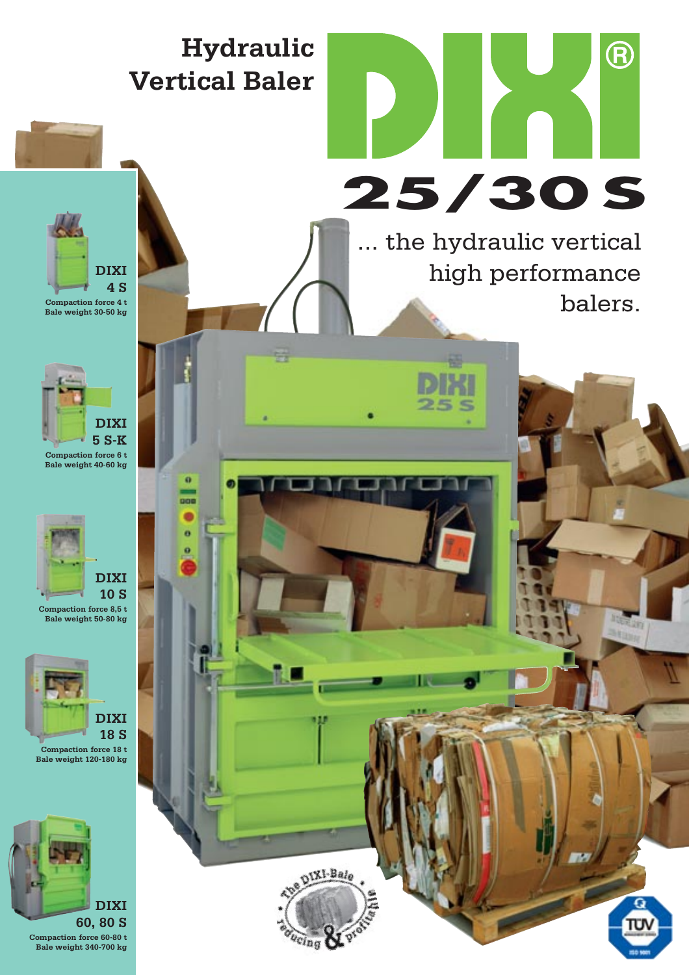